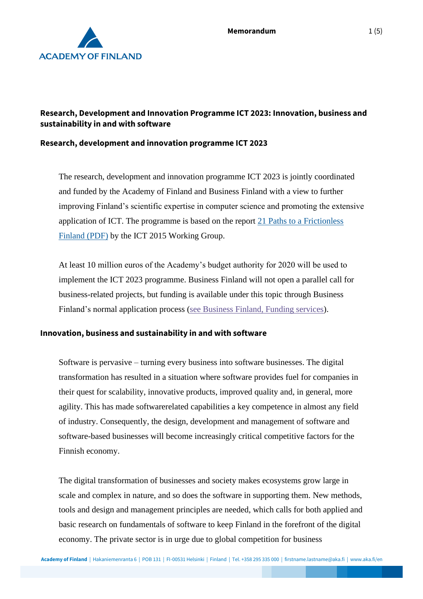

## **Research, Development and Innovation Programme ICT 2023: Innovation, business and sustainability in and with software**

#### **Research, development and innovation programme ICT 2023**

The research, development and innovation programme ICT 2023 is jointly coordinated and funded by the Academy of Finland and Business Finland with a view to further improving Finland's scientific expertise in computer science and promoting the extensive application of ICT. The programme is based on the report [21 Paths to a Frictionless](https://tem.fi/documents/1410877/3437254/21+Paths+to+a+frictionless+Finland+15052013.pdf)  [Finland \(PDF\)](https://tem.fi/documents/1410877/3437254/21+Paths+to+a+frictionless+Finland+15052013.pdf) by the ICT 2015 Working Group.

At least 10 million euros of the Academy's budget authority for 2020 will be used to implement the ICT 2023 programme. Business Finland will not open a parallel call for business-related projects, but funding is available under this topic through Business Finland's normal application process [\(see Business Finland, Funding services\)](https://www.businessfinland.fi/en/for-finnish-customers/services/funding/).

#### **Innovation, business and sustainability in and with software**

Software is pervasive – turning every business into software businesses. The digital transformation has resulted in a situation where software provides fuel for companies in their quest for scalability, innovative products, improved quality and, in general, more agility. This has made softwarerelated capabilities a key competence in almost any field of industry. Consequently, the design, development and management of software and software-based businesses will become increasingly critical competitive factors for the Finnish economy.

The digital transformation of businesses and society makes ecosystems grow large in scale and complex in nature, and so does the software in supporting them. New methods, tools and design and management principles are needed, which calls for both applied and basic research on fundamentals of software to keep Finland in the forefront of the digital economy. The private sector is in urge due to global competition for business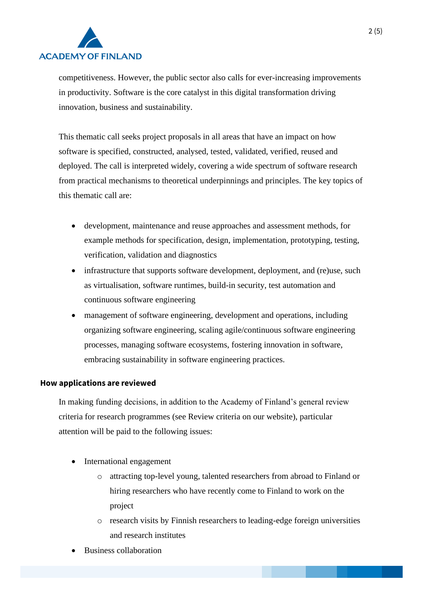

competitiveness. However, the public sector also calls for ever-increasing improvements in productivity. Software is the core catalyst in this digital transformation driving innovation, business and sustainability.

This thematic call seeks project proposals in all areas that have an impact on how software is specified, constructed, analysed, tested, validated, verified, reused and deployed. The call is interpreted widely, covering a wide spectrum of software research from practical mechanisms to theoretical underpinnings and principles. The key topics of this thematic call are:

- development, maintenance and reuse approaches and assessment methods, for example methods for specification, design, implementation, prototyping, testing, verification, validation and diagnostics
- infrastructure that supports software development, deployment, and (re)use, such as virtualisation, software runtimes, build-in security, test automation and continuous software engineering
- management of software engineering, development and operations, including organizing software engineering, scaling agile/continuous software engineering processes, managing software ecosystems, fostering innovation in software, embracing sustainability in software engineering practices.

#### **How applications are reviewed**

In making funding decisions, in addition to the Academy of Finland's general review criteria for research programmes (see Review criteria on our website), particular attention will be paid to the following issues:

- International engagement
	- o attracting top-level young, talented researchers from abroad to Finland or hiring researchers who have recently come to Finland to work on the project
	- o research visits by Finnish researchers to leading-edge foreign universities and research institutes
- Business collaboration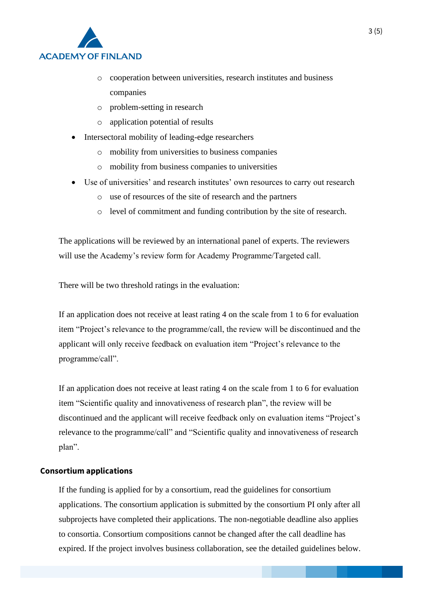

- o cooperation between universities, research institutes and business companies
- o problem-setting in research
- o application potential of results
- Intersectoral mobility of leading-edge researchers
	- o mobility from universities to business companies
	- o mobility from business companies to universities
- Use of universities' and research institutes' own resources to carry out research
	- o use of resources of the site of research and the partners
	- o level of commitment and funding contribution by the site of research.

The applications will be reviewed by an international panel of experts. The reviewers will use the Academy's review form for Academy Programme/Targeted call.

There will be two threshold ratings in the evaluation:

If an application does not receive at least rating 4 on the scale from 1 to 6 for evaluation item "Project's relevance to the programme/call, the review will be discontinued and the applicant will only receive feedback on evaluation item "Project's relevance to the programme/call".

If an application does not receive at least rating 4 on the scale from 1 to 6 for evaluation item "Scientific quality and innovativeness of research plan", the review will be discontinued and the applicant will receive feedback only on evaluation items "Project's relevance to the programme/call" and "Scientific quality and innovativeness of research plan".

#### **Consortium applications**

If the funding is applied for by a consortium, read the guidelines for consortium applications. The consortium application is submitted by the consortium PI only after all subprojects have completed their applications. The non-negotiable deadline also applies to consortia. Consortium compositions cannot be changed after the call deadline has expired. If the project involves business collaboration, see the detailed guidelines below.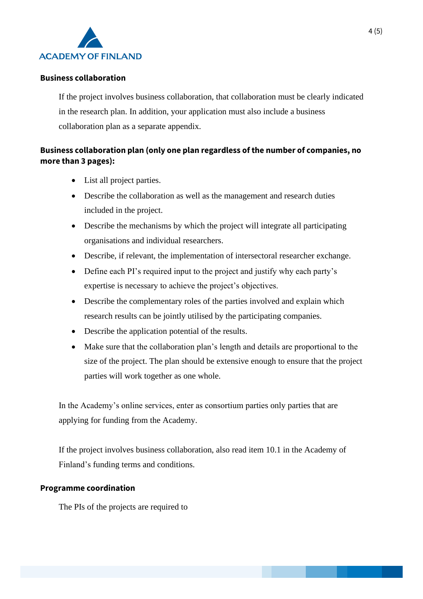

### **Business collaboration**

If the project involves business collaboration, that collaboration must be clearly indicated in the research plan. In addition, your application must also include a business collaboration plan as a separate appendix.

# **Business collaboration plan (only one plan regardless of the number of companies, no more than 3 pages):**

- List all project parties.
- Describe the collaboration as well as the management and research duties included in the project.
- Describe the mechanisms by which the project will integrate all participating organisations and individual researchers.
- Describe, if relevant, the implementation of intersectoral researcher exchange.
- Define each PI's required input to the project and justify why each party's expertise is necessary to achieve the project's objectives.
- Describe the complementary roles of the parties involved and explain which research results can be jointly utilised by the participating companies.
- Describe the application potential of the results.
- Make sure that the collaboration plan's length and details are proportional to the size of the project. The plan should be extensive enough to ensure that the project parties will work together as one whole.

In the Academy's online services, enter as consortium parties only parties that are applying for funding from the Academy.

If the project involves business collaboration, also read item 10.1 in the Academy of Finland's funding terms and conditions.

#### **Programme coordination**

The PIs of the projects are required to